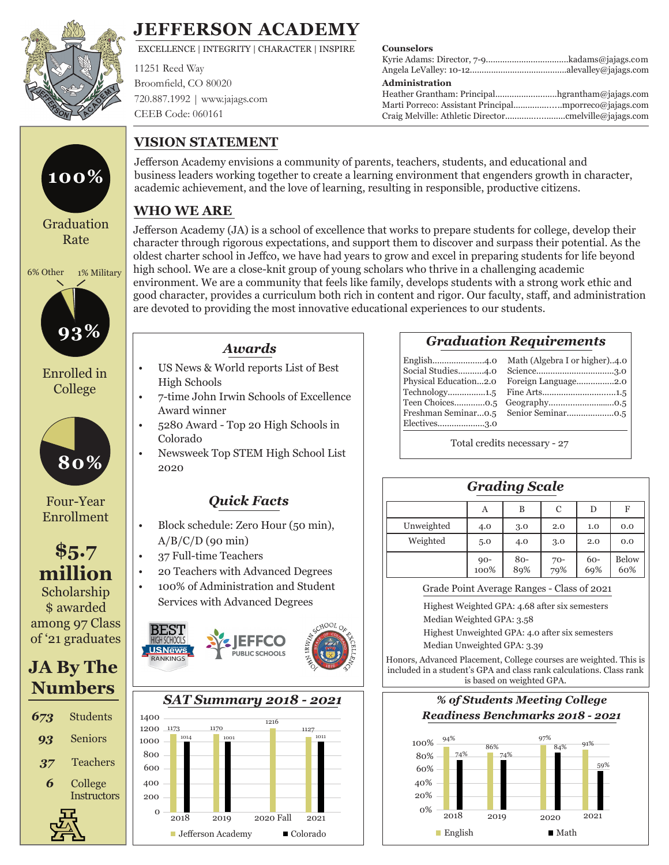

### **JEFFERSON ACADEMY**

EXCELLENCE | INTEGRITY | CHARACTER | INSPIRE

11251 Reed Way Broomfield, CO 80020 720.887.1992 | www.jajags.com CEEB Code: 060161

**VISION STATEMENT**

#### **Counselors**

#### **Administration**

| Heather Grantham: Principalhgrantham@jajags.com |  |
|-------------------------------------------------|--|
|                                                 |  |
|                                                 |  |

# Graduation Rate **100%**

6% Other 1% Military



College



Four-Year Enrollment

### **\$5.7 million**

Scholarship \$ awarded among 97 Class of '21 graduates

### **JA By The Numbers**

| 673 | Students           |
|-----|--------------------|
| 93  | Seniors            |
| 37  | Teachers           |
| 6   | College            |
|     | <b>Instructors</b> |
|     |                    |

### **WHO WE ARE**

Jefferson Academy (JA) is a school of excellence that works to prepare students for college, develop their character through rigorous expectations, and support them to discover and surpass their potential. As the oldest charter school in Jeffco, we have had years to grow and excel in preparing students for life beyond high school. We are a close-knit group of young scholars who thrive in a challenging academic environment. We are a community that feels like family, develops students with a strong work ethic and good character, provides a curriculum both rich in content and rigor. Our faculty, staff, and administration are devoted to providing the most innovative educational experiences to our students.

business leaders working together to create a learning environment that engenders growth in character,

Jefferson Academy envisions a community of parents, teachers, students, and educational and

academic achievement, and the love of learning, resulting in responsible, productive citizens.

#### *Awards*

- US News & World reports List of Best High Schools
- 7-time John Irwin Schools of Excellence Award winner
- 5280 Award Top 20 High Schools in Colorado
- Newsweek Top STEM High School List 2020

#### *Quick Facts*

- Block schedule: Zero Hour (50 min),  $A/B/C/D$  (90 min)
- 37 Full-time Teachers
- 20 Teachers with Advanced Degrees
- 100% of Administration and Student Services with Advanced Degrees Highest Weighted GPA: 4.68 after six semesters





| <b>Graduation Requirements</b> |  |  |
|--------------------------------|--|--|
|                                |  |  |

| English4.0            | Math (Algebra I or higher)4.0 |
|-----------------------|-------------------------------|
| Social Studies4.0     |                               |
| Physical Education2.0 | Foreign Language2.0           |
|                       |                               |
|                       |                               |
|                       |                               |
| Electives3.0          |                               |
|                       |                               |

| English4.0            | Math (Algebra I or higher)4.0 |
|-----------------------|-------------------------------|
| Social Studies4.0     |                               |
| Physical Education2.0 | Foreign Language2.0           |
|                       |                               |
|                       |                               |
|                       |                               |
| Electives3.0          |                               |

Total credits necessary - 27

| <b>Grading Scale</b> |             |            |            |            |              |
|----------------------|-------------|------------|------------|------------|--------------|
|                      | Α           | B          | C          | D          | F            |
| Unweighted           | 4.0         | 3.0        | 2.0        | 1.0        | 0.0          |
| Weighted             | 5.0         | 4.0        | 3.0        | 2.0        | 0.0          |
|                      | $90 - 100%$ | 80-<br>89% | 70-<br>79% | 60-<br>69% | Below<br>60% |

Grade Point Average Ranges - Class of 2021

Median Weighted GPA: 3.58

Highest Unweighted GPA: 4.0 after six semesters Median Unweighted GPA: 3.39

Honors, Advanced Placement, College courses are weighted. This is included in a student's GPA and class rank calculations. Class rank is based on weighted GPA.



 $0\%$  2018 2019 2020 2021  $\blacksquare$  English  $\blacksquare$  Math